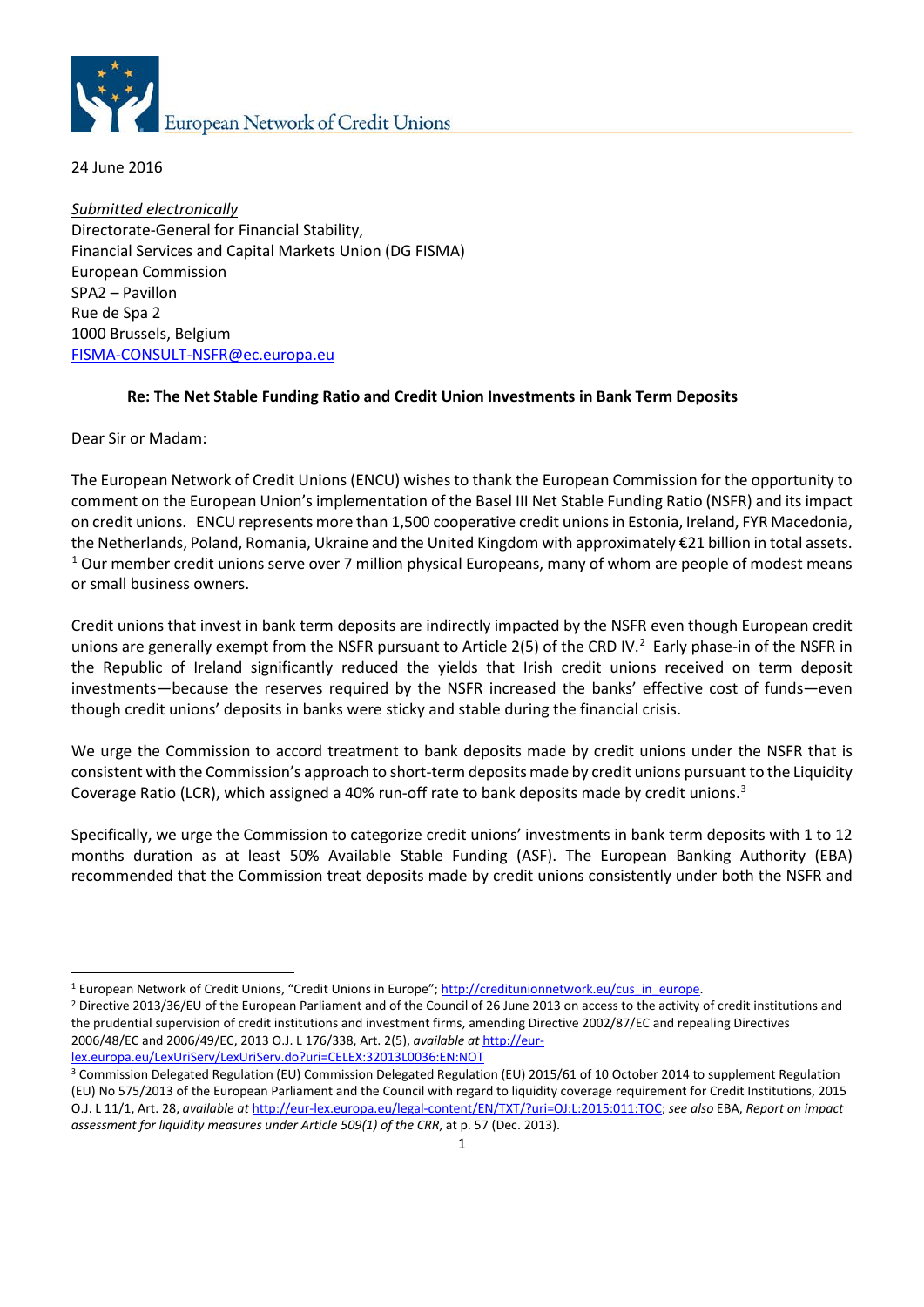

24 June 2016

*Submitted electronically* Directorate-General for Financial Stability, Financial Services and Capital Markets Union (DG FISMA) European Commission SPA2 – Pavillon Rue de Spa 2 1000 Brussels, Belgium [FISMA-CONSULT-NSFR@ec.europa.eu](mailto:FISMA-CONSULT-NSFR@ec.europa.eu)

### **Re: The Net Stable Funding Ratio and Credit Union Investments in Bank Term Deposits**

Dear Sir or Madam:

The European Network of Credit Unions (ENCU) wishes to thank the European Commission for the opportunity to comment on the European Union's implementation of the Basel III Net Stable Funding Ratio (NSFR) and its impact on credit unions. ENCU represents more than 1,500 cooperative credit unions in Estonia, Ireland, FYR Macedonia, the Netherlands, Poland, Romania, Ukraine and the United Kingdom with approximately €21 billion in total assets. <sup>[1](#page-0-0)</sup> Our member credit unions serve over 7 million physical Europeans, many of whom are people of modest means or small business owners.

Credit unions that invest in bank term deposits are indirectly impacted by the NSFR even though European credit unions are generally exempt from the NSFR pursuant to Article [2](#page-0-1)(5) of the CRD IV.<sup>2</sup> Early phase-in of the NSFR in the Republic of Ireland significantly reduced the yields that Irish credit unions received on term deposit investments—because the reserves required by the NSFR increased the banks' effective cost of funds—even though credit unions' deposits in banks were sticky and stable during the financial crisis.

We urge the Commission to accord treatment to bank deposits made by credit unions under the NSFR that is consistent with the Commission's approach to short-term deposits made by credit unions pursuant to the Liquidity Coverage Ratio (LCR), which assigned a 40% run-off rate to bank deposits made by credit unions.<sup>[3](#page-0-2)</sup>

Specifically, we urge the Commission to categorize credit unions' investments in bank term deposits with 1 to 12 months duration as at least 50% Available Stable Funding (ASF). The European Banking Authority (EBA) recommended that the Commission treat deposits made by credit unions consistently under both the NSFR and

 $\ddot{\phantom{a}}$ 

<span id="page-0-1"></span><span id="page-0-0"></span><sup>&</sup>lt;sup>1</sup> European Network of Credit Unions, "Credit Unions in Europe"; http://creditunionnetwork.eu/cus\_in\_europe.<br><sup>2</sup> Directive 2013/36/EU of the European Parliament and of the Council of 26 June 2013 on access to the activity the prudential supervision of credit institutions and investment firms, amending Directive 2002/87/EC and repealing Directives 2006/48/EC and 2006/49/EC, 2013 O.J. L 176/338, Art. 2(5), *available at* [http://eur-](http://eur-lex.europa.eu/LexUriServ/LexUriServ.do?uri=CELEX:32013L0036:EN:NOT)

<span id="page-0-2"></span>lex.europa.eu/LexUriServ/LexUriServ.do?uri=CELEX:32013L0036:EN:NOT<br><sup>3</sup> Commission Delegated Regulation (EU) Commission Delegated Regulation (EU) 2015/61 of 10 October 2014 to supplement Regulation (EU) No 575/2013 of the European Parliament and the Council with regard to liquidity coverage requirement for Credit Institutions, 2015 O.J. L 11/1, Art. 28, *available at* [http://eur-lex.europa.eu/legal-content/EN/TXT/?uri=OJ:L:2015:011:TOC;](http://eur-lex.europa.eu/legal-content/EN/TXT/?uri=OJ:L:2015:011:TOC) *see also* EBA, *Report on impact assessment for liquidity measures under Article 509(1) of the CRR*, at p. 57 (Dec. 2013).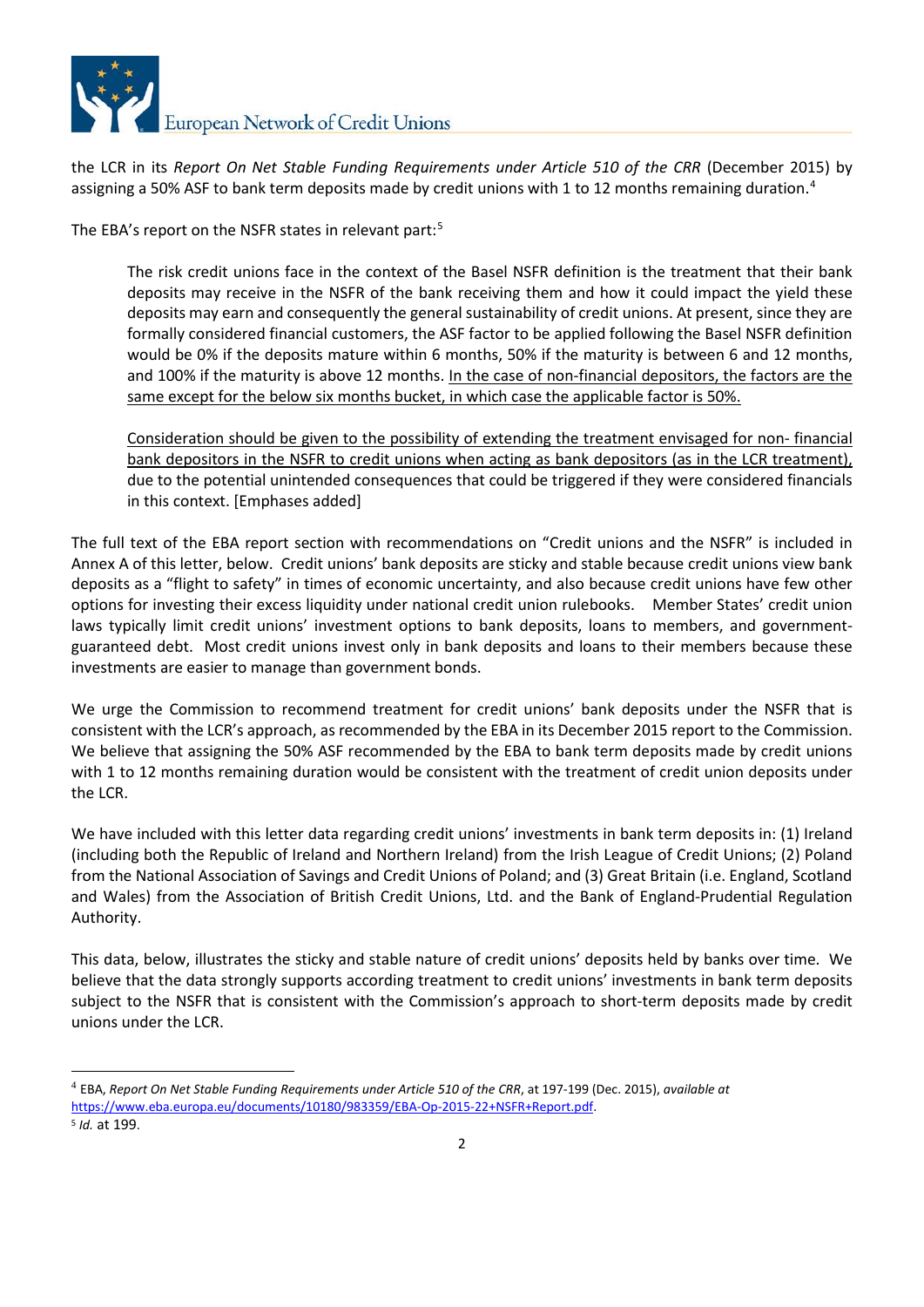

the LCR in its *Report On Net Stable Funding Requirements under Article 510 of the CRR* (December 2015) by assigning a 50% ASF to bank term deposits made by credit unions with 1 to 12 months remaining duration. [4](#page-1-0)

The EBA's report on the NSFR states in relevant part:<sup>[5](#page-1-1)</sup>

The risk credit unions face in the context of the Basel NSFR definition is the treatment that their bank deposits may receive in the NSFR of the bank receiving them and how it could impact the yield these deposits may earn and consequently the general sustainability of credit unions. At present, since they are formally considered financial customers, the ASF factor to be applied following the Basel NSFR definition would be 0% if the deposits mature within 6 months, 50% if the maturity is between 6 and 12 months, and 100% if the maturity is above 12 months. In the case of non-financial depositors, the factors are the same except for the below six months bucket, in which case the applicable factor is 50%.

Consideration should be given to the possibility of extending the treatment envisaged for non- financial bank depositors in the NSFR to credit unions when acting as bank depositors (as in the LCR treatment), due to the potential unintended consequences that could be triggered if they were considered financials in this context. [Emphases added]

The full text of the EBA report section with recommendations on "Credit unions and the NSFR" is included in Annex A of this letter, below. Credit unions' bank deposits are sticky and stable because credit unions view bank deposits as a "flight to safety" in times of economic uncertainty, and also because credit unions have few other options for investing their excess liquidity under national credit union rulebooks. Member States' credit union laws typically limit credit unions' investment options to bank deposits, loans to members, and governmentguaranteed debt. Most credit unions invest only in bank deposits and loans to their members because these investments are easier to manage than government bonds.

We urge the Commission to recommend treatment for credit unions' bank deposits under the NSFR that is consistent with the LCR's approach, as recommended by the EBA in its December 2015 report to the Commission. We believe that assigning the 50% ASF recommended by the EBA to bank term deposits made by credit unions with 1 to 12 months remaining duration would be consistent with the treatment of credit union deposits under the LCR.

We have included with this letter data regarding credit unions' investments in bank term deposits in: (1) Ireland (including both the Republic of Ireland and Northern Ireland) from the Irish League of Credit Unions; (2) Poland from the National Association of Savings and Credit Unions of Poland; and (3) Great Britain (i.e. England, Scotland and Wales) from the Association of British Credit Unions, Ltd. and the Bank of England-Prudential Regulation Authority.

This data, below, illustrates the sticky and stable nature of credit unions' deposits held by banks over time. We believe that the data strongly supports according treatment to credit unions' investments in bank term deposits subject to the NSFR that is consistent with the Commission's approach to short-term deposits made by credit unions under the LCR.

<span id="page-1-0"></span> <sup>4</sup> EBA, *Report On Net Stable Funding Requirements under Article 510 of the CRR*, at 197-199 (Dec. 2015), *available at*  [https://www.eba.europa.eu/documents/10180/983359/EBA-Op-2015-22+NSFR+Report.pdf.](https://www.eba.europa.eu/documents/10180/983359/EBA-Op-2015-22+NSFR+Report.pdf)

<span id="page-1-1"></span><sup>5</sup> *Id.* at 199.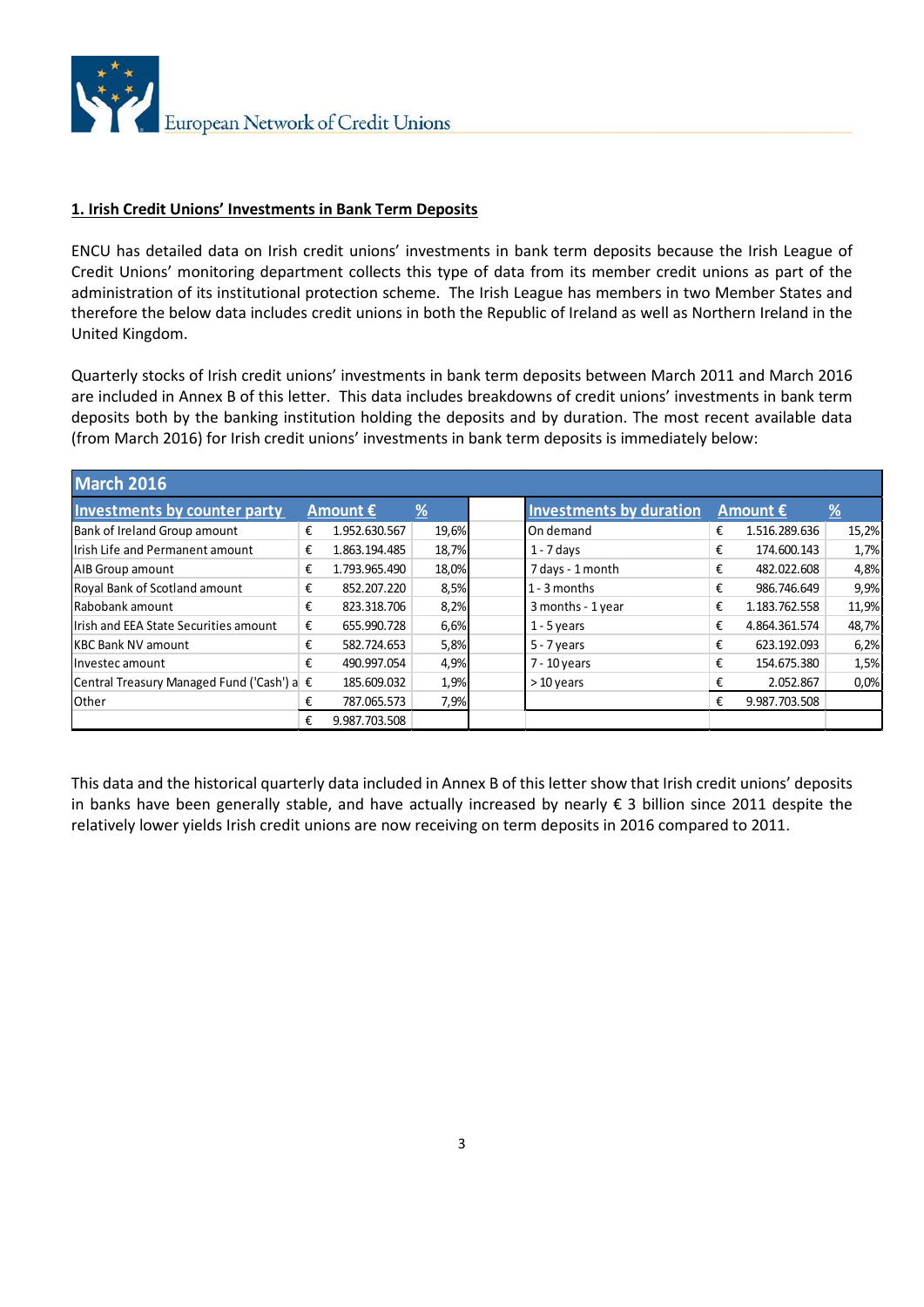

#### **1. Irish Credit Unions' Investments in Bank Term Deposits**

ENCU has detailed data on Irish credit unions' investments in bank term deposits because the Irish League of Credit Unions' monitoring department collects this type of data from its member credit unions as part of the administration of its institutional protection scheme. The Irish League has members in two Member States and therefore the below data includes credit unions in both the Republic of Ireland as well as Northern Ireland in the United Kingdom.

Quarterly stocks of Irish credit unions' investments in bank term deposits between March 2011 and March 2016 are included in Annex B of this letter. This data includes breakdowns of credit unions' investments in bank term deposits both by the banking institution holding the deposits and by duration. The most recent available data (from March 2016) for Irish credit unions' investments in bank term deposits is immediately below:

| <b>March 2016</b>                          |   |                   |       |                                |   |                   |               |
|--------------------------------------------|---|-------------------|-------|--------------------------------|---|-------------------|---------------|
| Investments by counter party               |   | Amount $\epsilon$ | %     | <b>Investments by duration</b> |   | Amount $\epsilon$ | $\frac{9}{6}$ |
| Bank of Ireland Group amount               | € | 1.952.630.567     | 19,6% | On demand                      | € | 1.516.289.636     | 15,2%         |
| Irish Life and Permanent amount            | € | 1.863.194.485     | 18,7% | $1 - 7$ days                   | € | 174.600.143       | 1,7%          |
| AIB Group amount                           | € | 1.793.965.490     | 18,0% | 7 days - 1 month               | € | 482.022.608       | 4,8%          |
| Royal Bank of Scotland amount              | € | 852.207.220       | 8,5%  | $1 - 3$ months                 | € | 986.746.649       | 9,9%          |
| Rabobank amount                            | € | 823.318.706       | 8,2%  | 3 months - 1 year              | € | 1.183.762.558     | 11,9%         |
| Irish and EEA State Securities amount      | € | 655.990.728       | 6,6%  | $1 - 5$ years                  | € | 4.864.361.574     | 48,7%         |
| <b>KBC Bank NV amount</b>                  | € | 582.724.653       | 5,8%  | $5 - 7$ years                  | € | 623.192.093       | 6,2%          |
| Investec amount                            | € | 490.997.054       | 4,9%  | $7 - 10$ years                 | € | 154.675.380       | 1,5%          |
| Central Treasury Managed Fund ('Cash') a € |   | 185.609.032       | 1,9%  | $>10$ years                    | € | 2.052.867         | 0.0%          |
| Other                                      | € | 787.065.573       | 7,9%  |                                | € | 9.987.703.508     |               |
|                                            | € | 9.987.703.508     |       |                                |   |                   |               |

This data and the historical quarterly data included in Annex B of this letter show that Irish credit unions' deposits in banks have been generally stable, and have actually increased by nearly € 3 billion since 2011 despite the relatively lower yields Irish credit unions are now receiving on term deposits in 2016 compared to 2011.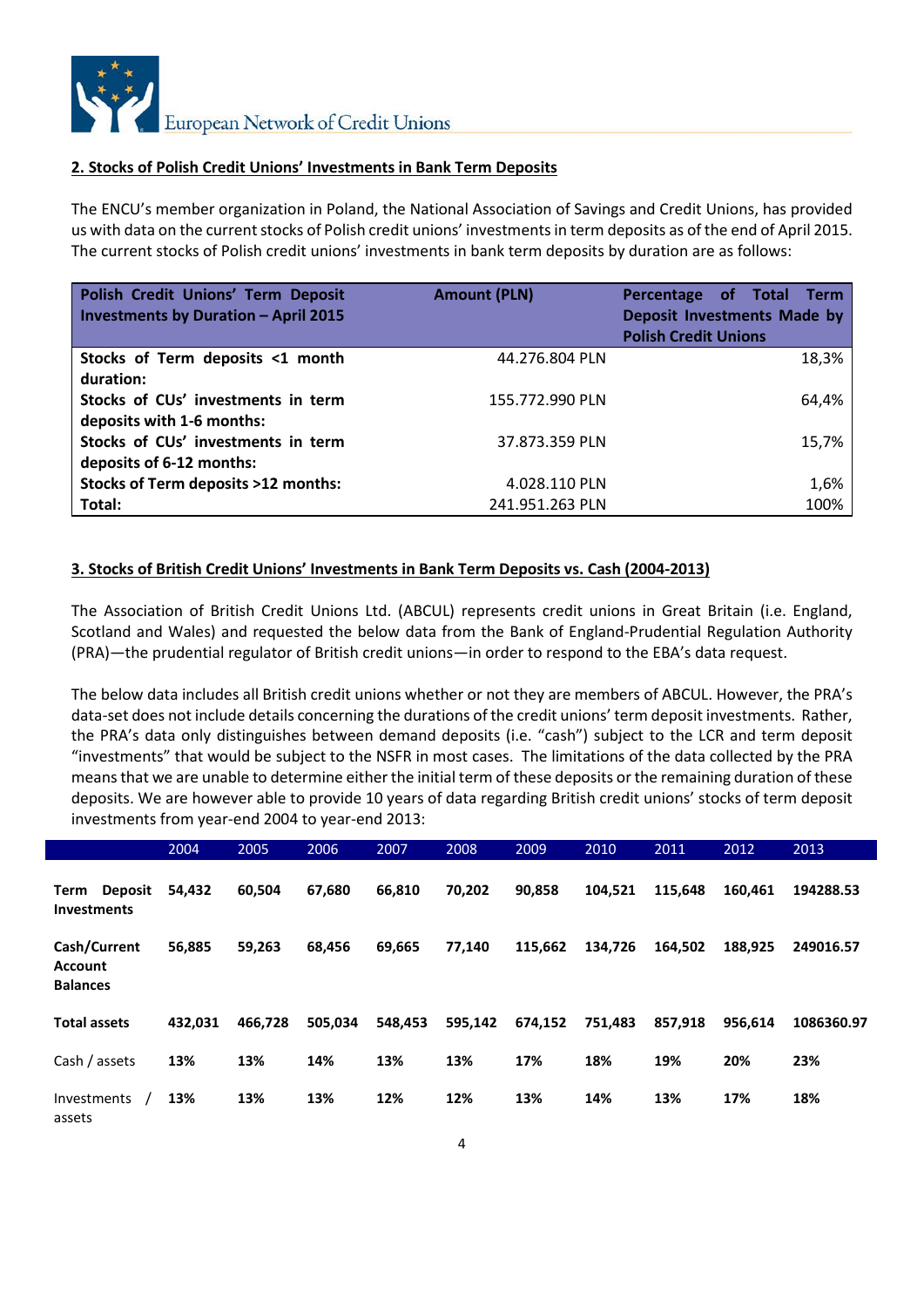

#### **2. Stocks of Polish Credit Unions' Investments in Bank Term Deposits**

The ENCU's member organization in Poland, the National Association of Savings and Credit Unions, has provided us with data on the current stocks of Polish credit unions' investments in term deposits as of the end of April 2015. The current stocks of Polish credit unions' investments in bank term deposits by duration are as follows:

| Polish Credit Unions' Term Deposit<br><b>Investments by Duration - April 2015</b> | <b>Amount (PLN)</b> | Percentage of Total<br><b>Term</b><br>Deposit Investments Made by<br><b>Polish Credit Unions</b> |
|-----------------------------------------------------------------------------------|---------------------|--------------------------------------------------------------------------------------------------|
| Stocks of Term deposits <1 month                                                  | 44.276.804 PLN      | 18,3%                                                                                            |
| duration:                                                                         |                     |                                                                                                  |
| Stocks of CUs' investments in term                                                | 155.772.990 PLN     | 64,4%                                                                                            |
| deposits with 1-6 months:                                                         |                     |                                                                                                  |
| Stocks of CUs' investments in term                                                | 37.873.359 PLN      | 15,7%                                                                                            |
| deposits of 6-12 months:                                                          |                     |                                                                                                  |
| <b>Stocks of Term deposits &gt;12 months:</b>                                     | 4.028.110 PLN       | 1,6%                                                                                             |
| Total:                                                                            | 241.951.263 PLN     | 100%                                                                                             |

### **3. Stocks of British Credit Unions' Investments in Bank Term Deposits vs. Cash (2004-2013)**

The Association of British Credit Unions Ltd. (ABCUL) represents credit unions in Great Britain (i.e. England, Scotland and Wales) and requested the below data from the Bank of England-Prudential Regulation Authority (PRA)—the prudential regulator of British credit unions—in order to respond to the EBA's data request.

The below data includes all British credit unions whether or not they are members of ABCUL. However, the PRA's data-set does not include details concerning the durations of the credit unions' term deposit investments. Rather, the PRA's data only distinguishes between demand deposits (i.e. "cash") subject to the LCR and term deposit "investments" that would be subject to the NSFR in most cases. The limitations of the data collected by the PRA means that we are unable to determine either the initial term of these deposits or the remaining duration of these deposits. We are however able to provide 10 years of data regarding British credit unions' stocks of term deposit investments from year-end 2004 to year-end 2013:

|                                                   | 2004    | 2005    | 2006    | 2007    | 2008    | 2009    | 2010    | 2011    | 2012    | 2013       |
|---------------------------------------------------|---------|---------|---------|---------|---------|---------|---------|---------|---------|------------|
| <b>Deposit</b><br>Term<br><b>Investments</b>      | 54.432  | 60.504  | 67,680  | 66,810  | 70,202  | 90,858  | 104.521 | 115.648 | 160.461 | 194288.53  |
| Cash/Current<br><b>Account</b><br><b>Balances</b> | 56,885  | 59,263  | 68,456  | 69,665  | 77,140  | 115,662 | 134,726 | 164,502 | 188,925 | 249016.57  |
| <b>Total assets</b>                               | 432.031 | 466,728 | 505.034 | 548,453 | 595,142 | 674,152 | 751,483 | 857.918 | 956.614 | 1086360.97 |
| Cash / assets                                     | 13%     | 13%     | 14%     | 13%     | 13%     | 17%     | 18%     | 19%     | 20%     | 23%        |
| <b>Investments</b><br>assets                      | 13%     | 13%     | 13%     | 12%     | 12%     | 13%     | 14%     | 13%     | 17%     | 18%        |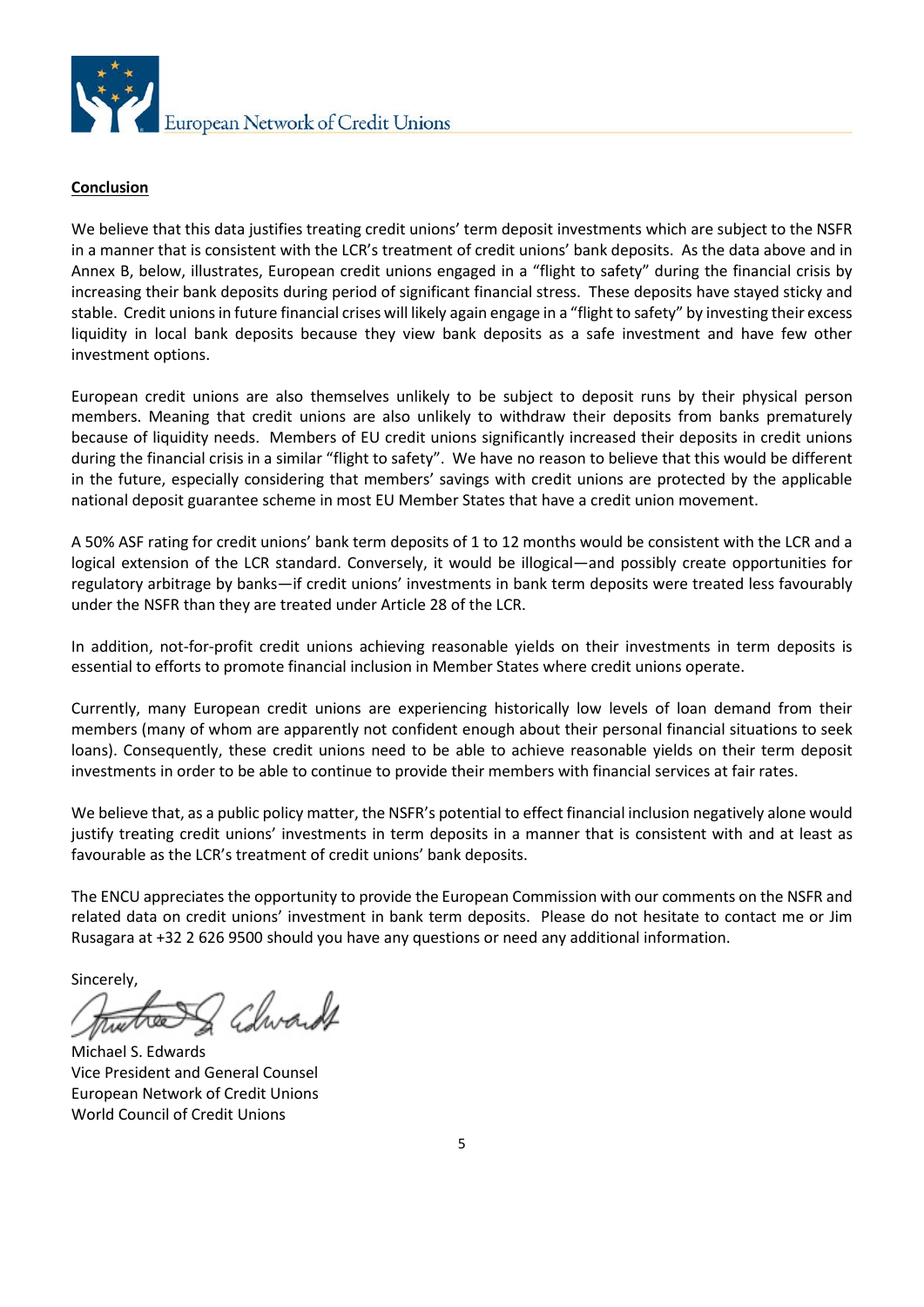

### **Conclusion**

We believe that this data justifies treating credit unions' term deposit investments which are subject to the NSFR in a manner that is consistent with the LCR's treatment of credit unions' bank deposits. As the data above and in Annex B, below, illustrates, European credit unions engaged in a "flight to safety" during the financial crisis by increasing their bank deposits during period of significant financial stress. These deposits have stayed sticky and stable. Credit unions in future financial crises will likely again engage in a "flight to safety" by investing their excess liquidity in local bank deposits because they view bank deposits as a safe investment and have few other investment options.

European credit unions are also themselves unlikely to be subject to deposit runs by their physical person members. Meaning that credit unions are also unlikely to withdraw their deposits from banks prematurely because of liquidity needs. Members of EU credit unions significantly increased their deposits in credit unions during the financial crisis in a similar "flight to safety". We have no reason to believe that this would be different in the future, especially considering that members' savings with credit unions are protected by the applicable national deposit guarantee scheme in most EU Member States that have a credit union movement.

A 50% ASF rating for credit unions' bank term deposits of 1 to 12 months would be consistent with the LCR and a logical extension of the LCR standard. Conversely, it would be illogical—and possibly create opportunities for regulatory arbitrage by banks—if credit unions' investments in bank term deposits were treated less favourably under the NSFR than they are treated under Article 28 of the LCR.

In addition, not-for-profit credit unions achieving reasonable yields on their investments in term deposits is essential to efforts to promote financial inclusion in Member States where credit unions operate.

Currently, many European credit unions are experiencing historically low levels of loan demand from their members (many of whom are apparently not confident enough about their personal financial situations to seek loans). Consequently, these credit unions need to be able to achieve reasonable yields on their term deposit investments in order to be able to continue to provide their members with financial services at fair rates.

We believe that, as a public policy matter, the NSFR's potential to effect financial inclusion negatively alone would justify treating credit unions' investments in term deposits in a manner that is consistent with and at least as favourable as the LCR's treatment of credit unions' bank deposits.

The ENCU appreciates the opportunity to provide the European Commission with our comments on the NSFR and related data on credit unions' investment in bank term deposits. Please do not hesitate to contact me or Jim Rusagara at +32 2 626 9500 should you have any questions or need any additional information.

Sincerely, & Chwardt

Michael S. Edwards Vice President and General Counsel European Network of Credit Unions World Council of Credit Unions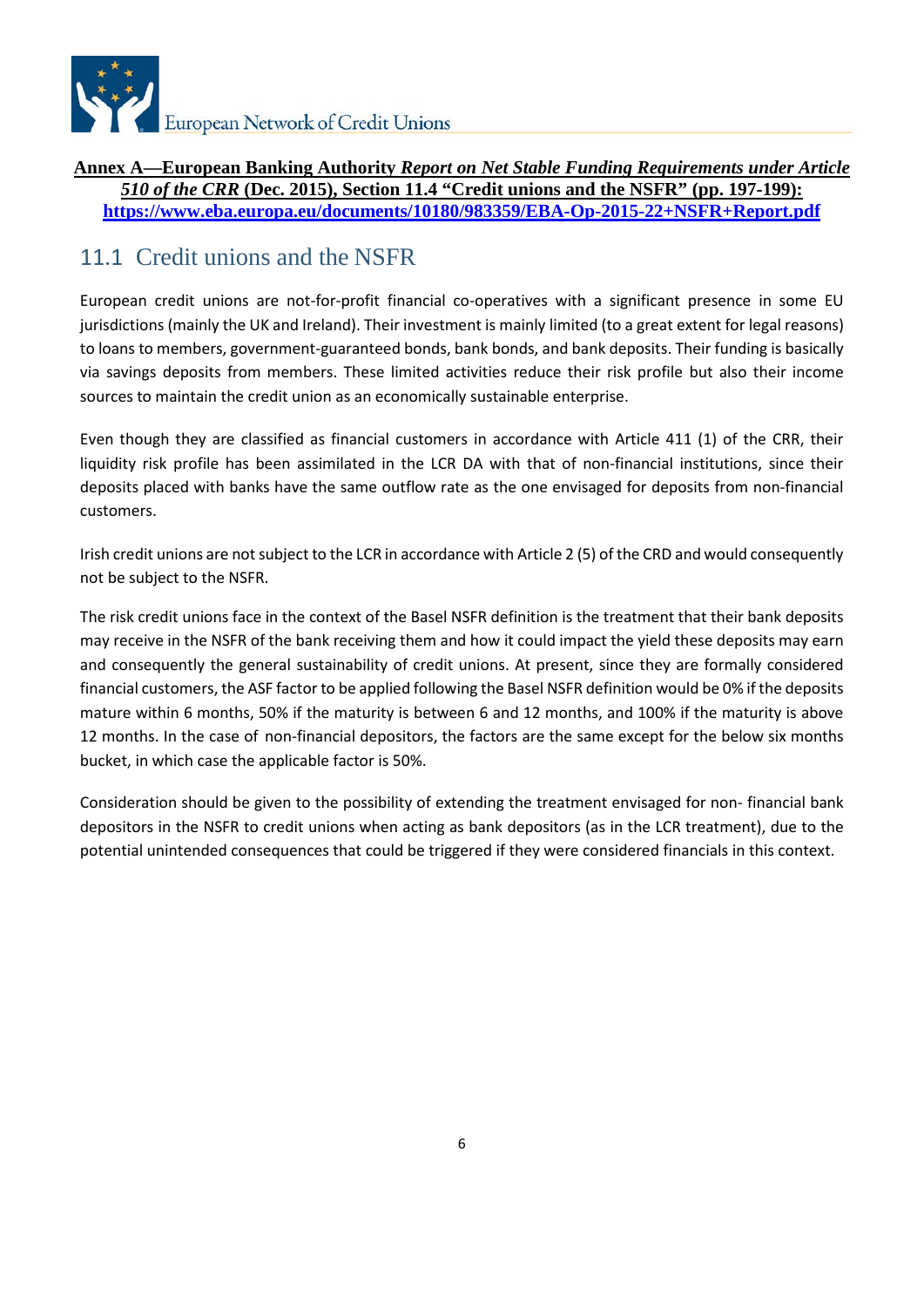

### **Annex A—European Banking Authority** *Report on Net Stable Funding Requirements under Article 510 of the CRR* **(Dec. 2015), Section 11.4 "Credit unions and the NSFR" (pp. 197-199): <https://www.eba.europa.eu/documents/10180/983359/EBA-Op-2015-22+NSFR+Report.pdf>**

# 11.1 Credit unions and the NSFR

European credit unions are not-for-profit financial co-operatives with a significant presence in some EU jurisdictions (mainly the UK and Ireland). Their investment is mainly limited (to a great extent for legal reasons) to loans to members, government-guaranteed bonds, bank bonds, and bank deposits. Their funding is basically via savings deposits from members. These limited activities reduce their risk profile but also their income sources to maintain the credit union as an economically sustainable enterprise.

Even though they are classified as financial customers in accordance with Article 411 (1) of the CRR, their liquidity risk profile has been assimilated in the LCR DA with that of non-financial institutions, since their deposits placed with banks have the same outflow rate as the one envisaged for deposits from non-financial customers.

Irish credit unions are not subject to the LCR in accordance with Article 2 (5) of the CRD and would consequently not be subject to the NSFR.

The risk credit unions face in the context of the Basel NSFR definition is the treatment that their bank deposits may receive in the NSFR of the bank receiving them and how it could impact the yield these deposits may earn and consequently the general sustainability of credit unions. At present, since they are formally considered financial customers, the ASF factor to be applied following the Basel NSFR definition would be 0% if the deposits mature within 6 months, 50% if the maturity is between 6 and 12 months, and 100% if the maturity is above 12 months. In the case of non-financial depositors, the factors are the same except for the below six months bucket, in which case the applicable factor is 50%.

Consideration should be given to the possibility of extending the treatment envisaged for non- financial bank depositors in the NSFR to credit unions when acting as bank depositors (as in the LCR treatment), due to the potential unintended consequences that could be triggered if they were considered financials in this context.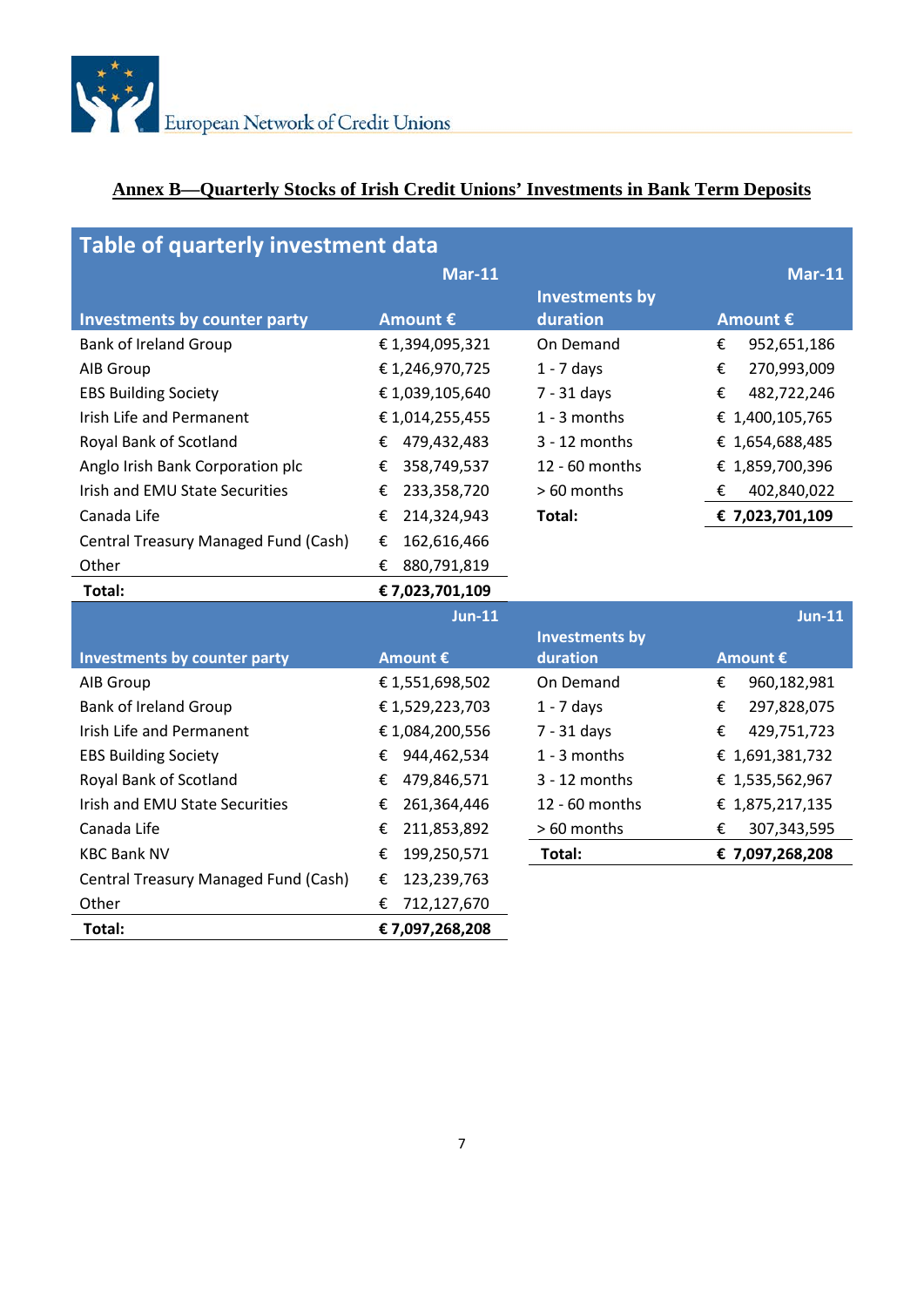

# **Annex B—Quarterly Stocks of Irish Credit Unions' Investments in Bank Term Deposits**

| Table of quarterly investment data   |                  |                       |                  |  |
|--------------------------------------|------------------|-----------------------|------------------|--|
|                                      | <b>Mar-11</b>    |                       | <b>Mar-11</b>    |  |
|                                      |                  | <b>Investments by</b> |                  |  |
| <b>Investments by counter party</b>  | Amount €         | duration              | Amount €         |  |
| <b>Bank of Ireland Group</b>         | €1,394,095,321   | On Demand             | €<br>952,651,186 |  |
| AIB Group                            | €1,246,970,725   | $1 - 7$ days          | €<br>270,993,009 |  |
| <b>EBS Building Society</b>          | €1,039,105,640   | 7 - 31 days           | €<br>482,722,246 |  |
| Irish Life and Permanent             | €1,014,255,455   | 1 - 3 months          | € 1,400,105,765  |  |
| Royal Bank of Scotland               | 479,432,483<br>€ | $3 - 12$ months       | € 1,654,688,485  |  |
| Anglo Irish Bank Corporation plc     | 358,749,537<br>€ | 12 - 60 months        | € 1,859,700,396  |  |
| Irish and EMU State Securities       | 233,358,720<br>€ | > 60 months           | €<br>402,840,022 |  |
| Canada Life                          | 214,324,943<br>€ | Total:                | € 7,023,701,109  |  |
| Central Treasury Managed Fund (Cash) | 162,616,466<br>€ |                       |                  |  |
| Other                                | 880,791,819<br>€ |                       |                  |  |
| Total:                               | € 7,023,701,109  |                       |                  |  |
|                                      | $Jun-11$         |                       | $Jun-11$         |  |
|                                      |                  | <b>Investments by</b> |                  |  |
| <b>Investments by counter party</b>  | Amount €         | duration              | Amount €         |  |
| AIB Group                            | €1,551,698,502   | On Demand             | €<br>960,182,981 |  |
| <b>Bank of Ireland Group</b>         | €1,529,223,703   | $1 - 7$ days          | €<br>297,828,075 |  |
| Irish Life and Permanent             | €1,084,200,556   | 7 - 31 days           | €<br>429,751,723 |  |
| <b>EBS Building Society</b>          | 944,462,534<br>€ | 1 - 3 months          | € 1,691,381,732  |  |
| Royal Bank of Scotland               | €<br>479,846,571 | $3 - 12$ months       | € 1,535,562,967  |  |
| Irish and EMU State Securities       | 261,364,446<br>€ | 12 - 60 months        | € 1,875,217,135  |  |
| Canada Life                          | €<br>211,853,892 | > 60 months           | €<br>307,343,595 |  |
| <b>KBC Bank NV</b>                   | 199,250,571<br>€ | Total:                | € 7,097,268,208  |  |
| Central Treasury Managed Fund (Cash) | 123,239,763<br>€ |                       |                  |  |
| Other                                | 712,127,670<br>€ |                       |                  |  |
| Total:                               | € 7,097,268,208  |                       |                  |  |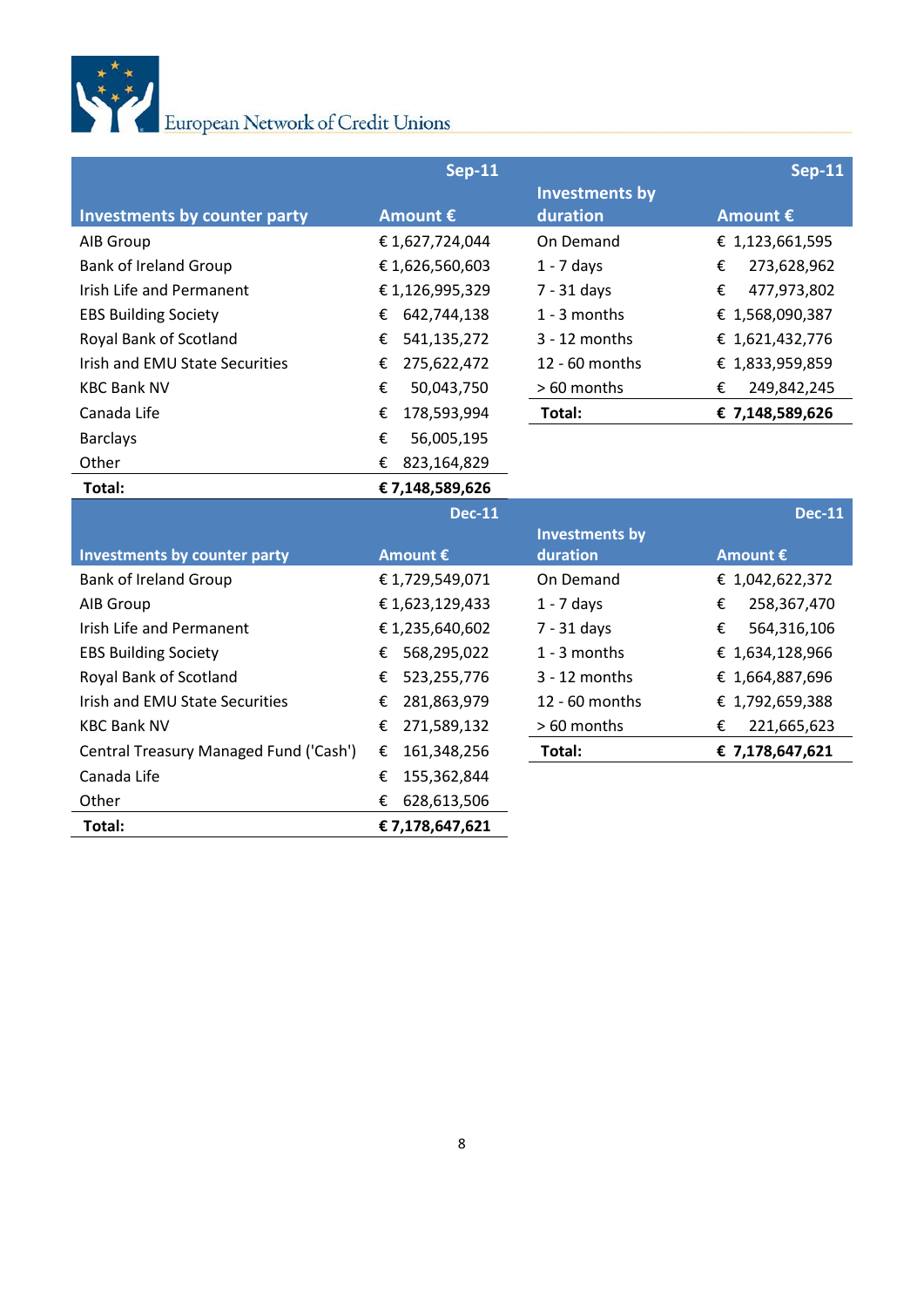

|                                        | <b>Sep-11</b>    |                       | <b>Sep-11</b>    |
|----------------------------------------|------------------|-----------------------|------------------|
|                                        |                  | <b>Investments by</b> |                  |
| <b>Investments by counter party</b>    | Amount €         | duration              | Amount €         |
| AIB Group                              | €1,627,724,044   | On Demand             | € 1,123,661,595  |
| <b>Bank of Ireland Group</b>           | €1,626,560,603   | $1 - 7$ days          | 273,628,962<br>€ |
| Irish Life and Permanent               | €1,126,995,329   | $7 - 31$ days         | 477,973,802<br>€ |
| <b>EBS Building Society</b>            | 642,744,138<br>€ | 1 - 3 months          | € 1,568,090,387  |
| Royal Bank of Scotland                 | 541,135,272<br>€ | $3 - 12$ months       | € 1,621,432,776  |
| Irish and EMU State Securities         | 275,622,472<br>€ | 12 - 60 months        | € 1,833,959,859  |
| <b>KBC Bank NV</b>                     | €<br>50,043,750  | > 60 months           | €<br>249,842,245 |
| Canada Life                            | 178,593,994<br>€ | Total:                | € 7,148,589,626  |
| <b>Barclays</b>                        | €<br>56,005,195  |                       |                  |
| Other                                  | €<br>823,164,829 |                       |                  |
| Total:                                 | €7,148,589,626   |                       |                  |
|                                        |                  |                       |                  |
|                                        | <b>Dec-11</b>    |                       | <b>Dec-11</b>    |
|                                        |                  | <b>Investments by</b> |                  |
| <b>Investments by counter party</b>    | Amount €         | duration              | Amount €         |
| <b>Bank of Ireland Group</b>           | €1,729,549,071   | On Demand             | € 1,042,622,372  |
| AIB Group                              | €1,623,129,433   | $1 - 7$ days          | 258,367,470<br>€ |
| Irish Life and Permanent               | €1,235,640,602   | $7 - 31$ days         | €<br>564,316,106 |
| <b>EBS Building Society</b>            | 568,295,022<br>€ | 1 - 3 months          | € 1,634,128,966  |
| Royal Bank of Scotland                 | 523,255,776<br>€ | $3 - 12$ months       | € 1,664,887,696  |
| Irish and EMU State Securities         | 281,863,979<br>€ | 12 - 60 months        | € 1,792,659,388  |
| <b>KBC Bank NV</b>                     | 271,589,132<br>€ | > 60 months           | €<br>221,665,623 |
| Central Treasury Managed Fund ('Cash') | 161,348,256<br>€ | Total:                | € 7,178,647,621  |
| Canada Life                            | 155,362,844<br>€ |                       |                  |
| Other                                  | 628,613,506<br>€ |                       |                  |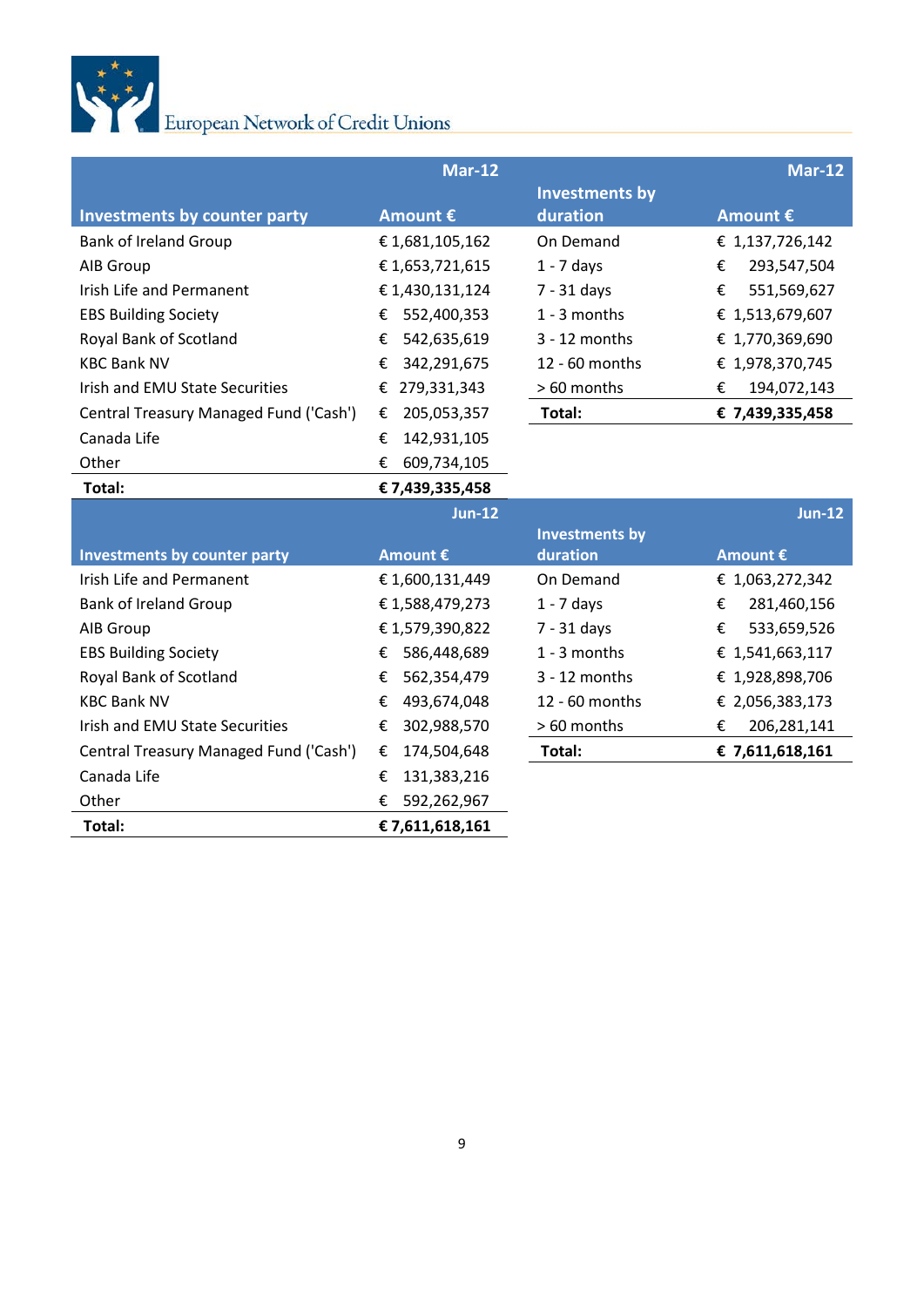

|                                        | <b>Mar-12</b>    |                       | <b>Mar-12</b>    |
|----------------------------------------|------------------|-----------------------|------------------|
|                                        |                  | <b>Investments by</b> |                  |
| <b>Investments by counter party</b>    | Amount €         | duration              | Amount €         |
| <b>Bank of Ireland Group</b>           | €1,681,105,162   | On Demand             | € 1,137,726,142  |
| AIB Group                              | €1,653,721,615   | $1 - 7$ days          | €<br>293,547,504 |
| Irish Life and Permanent               | €1,430,131,124   | $7 - 31$ days         | €<br>551,569,627 |
| <b>EBS Building Society</b>            | 552,400,353<br>€ | 1 - 3 months          | € 1,513,679,607  |
| Royal Bank of Scotland                 | 542,635,619<br>€ | $3 - 12$ months       | € 1,770,369,690  |
| <b>KBC Bank NV</b>                     | €<br>342,291,675 | 12 - 60 months        | € 1,978,370,745  |
| Irish and EMU State Securities         | 279,331,343<br>€ | > 60 months           | €<br>194,072,143 |
| Central Treasury Managed Fund ('Cash') | 205,053,357<br>€ | Total:                | € 7,439,335,458  |
| Canada Life                            | 142,931,105<br>€ |                       |                  |
| Other                                  | €<br>609,734,105 |                       |                  |
| Total:                                 | € 7,439,335,458  |                       |                  |
|                                        | <b>Jun-12</b>    |                       | <b>Jun-12</b>    |
|                                        |                  | <b>Investments by</b> |                  |
| <b>Investments by counter party</b>    | Amount €         | duration              | Amount €         |
| Irish Life and Permanent               |                  |                       |                  |
|                                        | €1,600,131,449   | On Demand             | € 1,063,272,342  |
| <b>Bank of Ireland Group</b>           | €1,588,479,273   | $1 - 7$ days          | 281,460,156<br>€ |
| AIB Group                              | €1,579,390,822   | $7 - 31$ days         | €<br>533,659,526 |
| <b>EBS Building Society</b>            | 586,448,689<br>€ | 1 - 3 months          | € 1,541,663,117  |
| Royal Bank of Scotland                 | 562,354,479<br>€ | $3 - 12$ months       | € 1,928,898,706  |
| <b>KBC Bank NV</b>                     | 493,674,048<br>€ | 12 - 60 months        | € 2,056,383,173  |
| Irish and EMU State Securities         | 302,988,570<br>€ | > 60 months           | 206,281,141<br>€ |
| Central Treasury Managed Fund ('Cash') | 174,504,648<br>€ | Total:                | € 7,611,618,161  |
| Canada Life                            | 131,383,216<br>€ |                       |                  |
| Other                                  | 592,262,967<br>€ |                       |                  |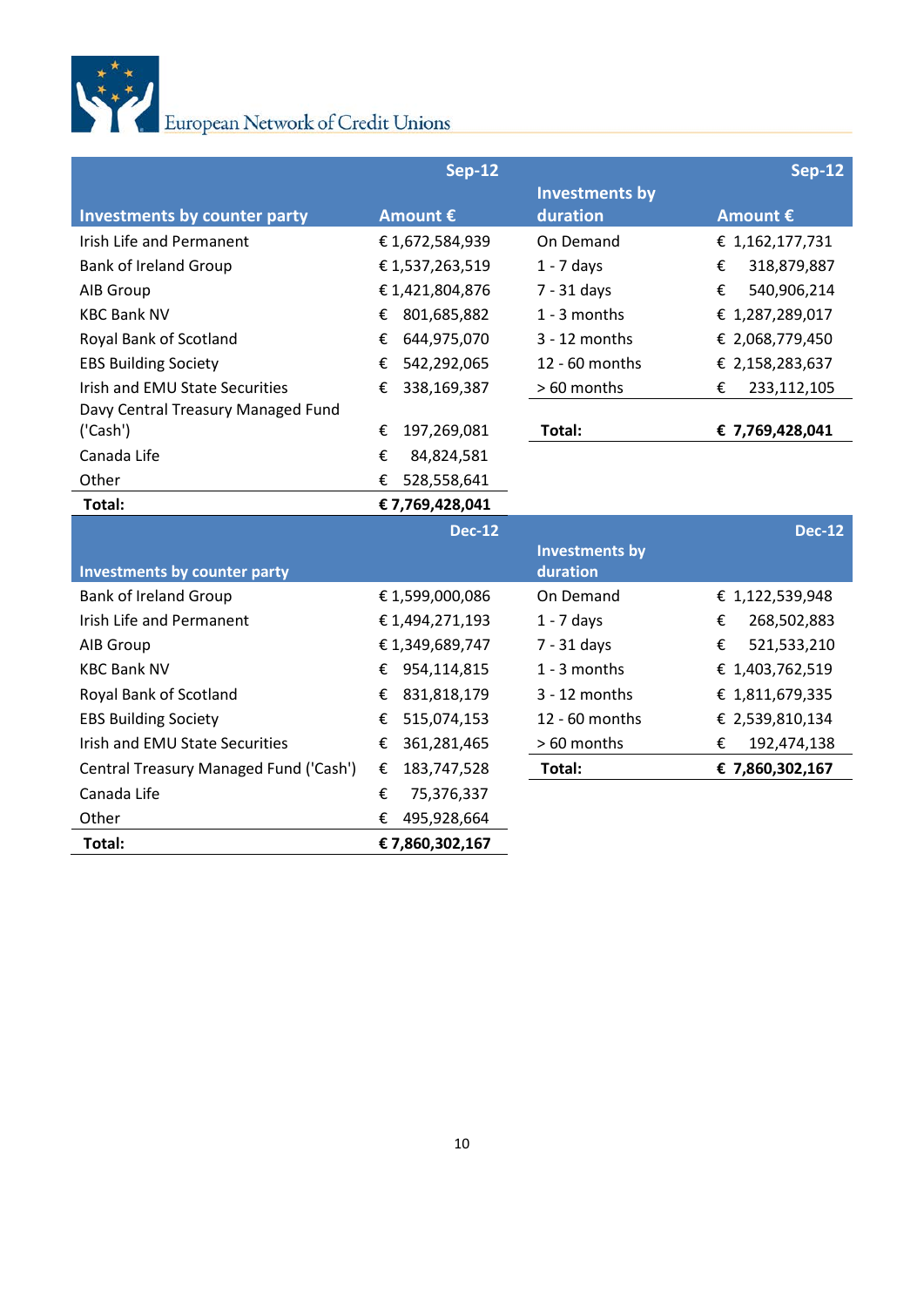

|                                        | <b>Sep-12</b>    |                       | <b>Sep-12</b>    |
|----------------------------------------|------------------|-----------------------|------------------|
|                                        |                  | <b>Investments by</b> |                  |
| <b>Investments by counter party</b>    | Amount €         | duration              | Amount €         |
| Irish Life and Permanent               | €1,672,584,939   | On Demand             | € 1,162,177,731  |
| <b>Bank of Ireland Group</b>           | €1,537,263,519   | $1 - 7$ days          | €<br>318,879,887 |
| AIB Group                              | €1,421,804,876   | 7 - 31 days           | 540,906,214<br>€ |
| <b>KBC Bank NV</b>                     | 801,685,882<br>€ | 1 - 3 months          | € 1,287,289,017  |
| Royal Bank of Scotland                 | 644,975,070<br>€ | 3 - 12 months         | € 2,068,779,450  |
| <b>EBS Building Society</b>            | 542,292,065<br>€ | 12 - 60 months        | € 2,158,283,637  |
| Irish and EMU State Securities         | 338,169,387<br>€ | > 60 months           | €<br>233,112,105 |
| Davy Central Treasury Managed Fund     |                  |                       |                  |
| ('Cash')                               | 197,269,081<br>€ | Total:                | € 7,769,428,041  |
| Canada Life                            | €<br>84,824,581  |                       |                  |
| Other                                  | €<br>528,558,641 |                       |                  |
| Total:                                 | € 7,769,428,041  |                       |                  |
|                                        | <b>Dec-12</b>    |                       | <b>Dec-12</b>    |
|                                        |                  | <b>Investments by</b> |                  |
| <b>Investments by counter party</b>    |                  | duration              |                  |
| <b>Bank of Ireland Group</b>           | €1,599,000,086   | On Demand             | € 1,122,539,948  |
| <b>Irish Life and Permanent</b>        | €1,494,271,193   | $1 - 7$ days          | €<br>268,502,883 |
| AIB Group                              | €1,349,689,747   | $7 - 31$ days         | 521,533,210<br>€ |
| <b>KBC Bank NV</b>                     | 954,114,815<br>€ | 1 - 3 months          | € 1,403,762,519  |
| Royal Bank of Scotland                 | 831,818,179<br>€ | 3 - 12 months         | € 1,811,679,335  |
| <b>EBS Building Society</b>            | 515,074,153<br>€ | 12 - 60 months        | € 2,539,810,134  |
| Irish and EMU State Securities         | 361,281,465<br>€ | > 60 months           | €<br>192,474,138 |
| Central Treasury Managed Fund ('Cash') | €<br>183,747,528 | Total:                | € 7,860,302,167  |
| Canada Life                            | 75,376,337<br>€  |                       |                  |
| Other                                  | €<br>495,928,664 |                       |                  |
| Total:                                 | €7,860,302,167   |                       |                  |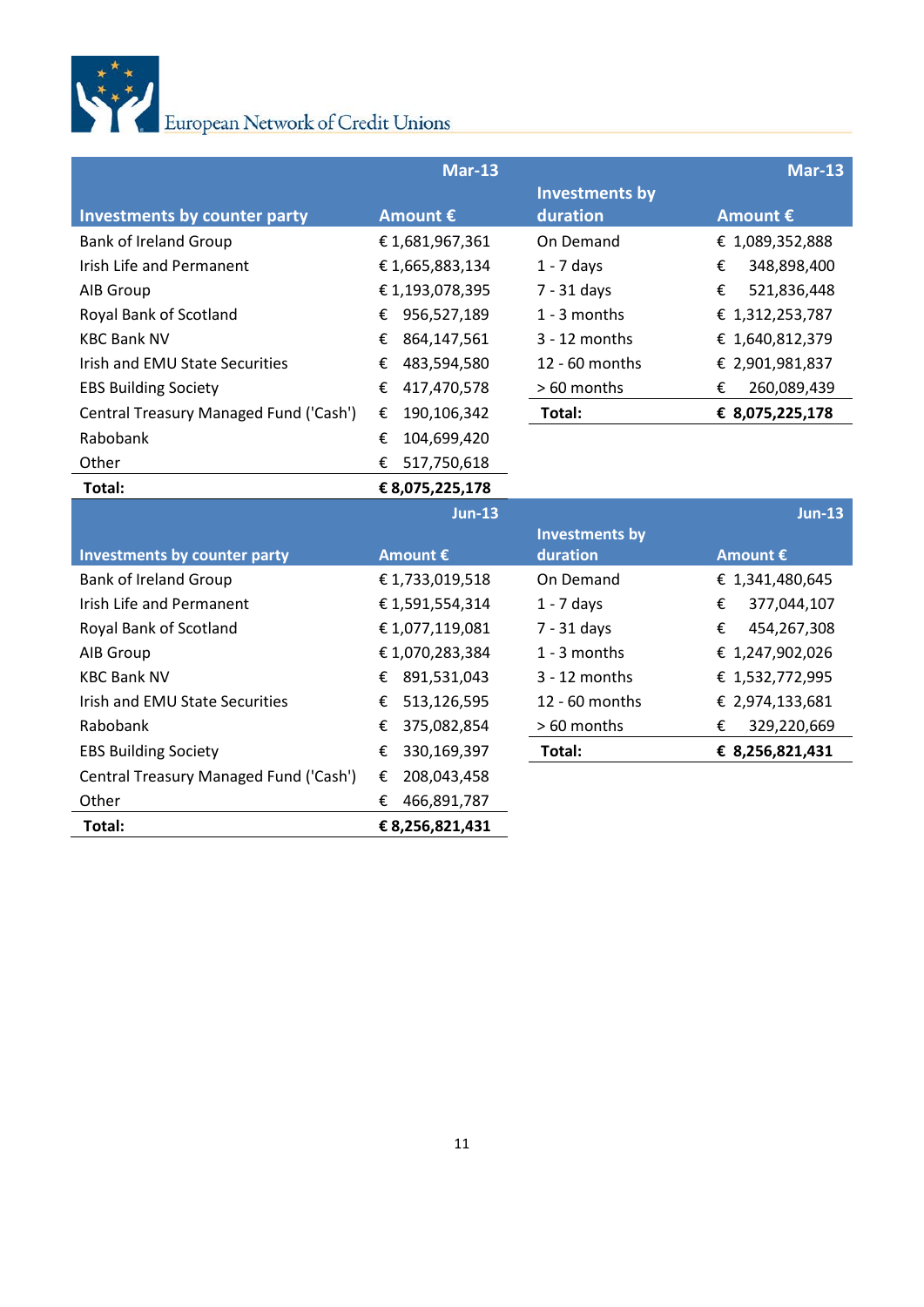

|                                        | <b>Mar-13</b>    |                       | <b>Mar-13</b>    |
|----------------------------------------|------------------|-----------------------|------------------|
|                                        |                  | <b>Investments by</b> |                  |
| <b>Investments by counter party</b>    | Amount €         | duration              | Amount €         |
| <b>Bank of Ireland Group</b>           | €1,681,967,361   | On Demand             | € 1,089,352,888  |
| Irish Life and Permanent               | €1,665,883,134   | $1 - 7$ days          | €<br>348,898,400 |
| AIB Group                              | €1,193,078,395   | 7 - 31 days           | €<br>521,836,448 |
| Royal Bank of Scotland                 | 956,527,189<br>€ | $1 - 3$ months        | € 1,312,253,787  |
| <b>KBC Bank NV</b>                     | 864,147,561<br>€ | 3 - 12 months         | € 1,640,812,379  |
| Irish and EMU State Securities         | 483,594,580<br>€ | 12 - 60 months        | € 2,901,981,837  |
| <b>EBS Building Society</b>            | 417,470,578<br>€ | > 60 months           | 260,089,439<br>€ |
| Central Treasury Managed Fund ('Cash') | 190,106,342<br>€ | Total:                | € 8,075,225,178  |
| Rabobank                               | 104,699,420<br>€ |                       |                  |
| Other                                  | €<br>517,750,618 |                       |                  |
| Total:                                 | € 8,075,225,178  |                       |                  |
|                                        |                  |                       |                  |
|                                        | <b>Jun-13</b>    |                       | <b>Jun-13</b>    |
|                                        |                  | <b>Investments by</b> |                  |
| <b>Investments by counter party</b>    | Amount €         | duration              | Amount €         |
| <b>Bank of Ireland Group</b>           | €1,733,019,518   | On Demand             | € 1,341,480,645  |
| Irish Life and Permanent               | €1,591,554,314   | $1 - 7$ days          | €<br>377,044,107 |
| Royal Bank of Scotland                 | €1,077,119,081   | $7 - 31$ days         | 454,267,308<br>€ |
| AIB Group                              | €1,070,283,384   | $1 - 3$ months        | € 1,247,902,026  |
| <b>KBC Bank NV</b>                     | 891,531,043<br>€ | $3 - 12$ months       | € 1,532,772,995  |
| Irish and EMU State Securities         | 513,126,595<br>€ | 12 - 60 months        | € 2,974,133,681  |
| Rabobank                               | €<br>375,082,854 | > 60 months           | €<br>329,220,669 |
| <b>EBS Building Society</b>            | 330,169,397<br>€ | Total:                | € 8,256,821,431  |
| Central Treasury Managed Fund ('Cash') | 208,043,458<br>€ |                       |                  |
| Other                                  | 466,891,787<br>€ |                       |                  |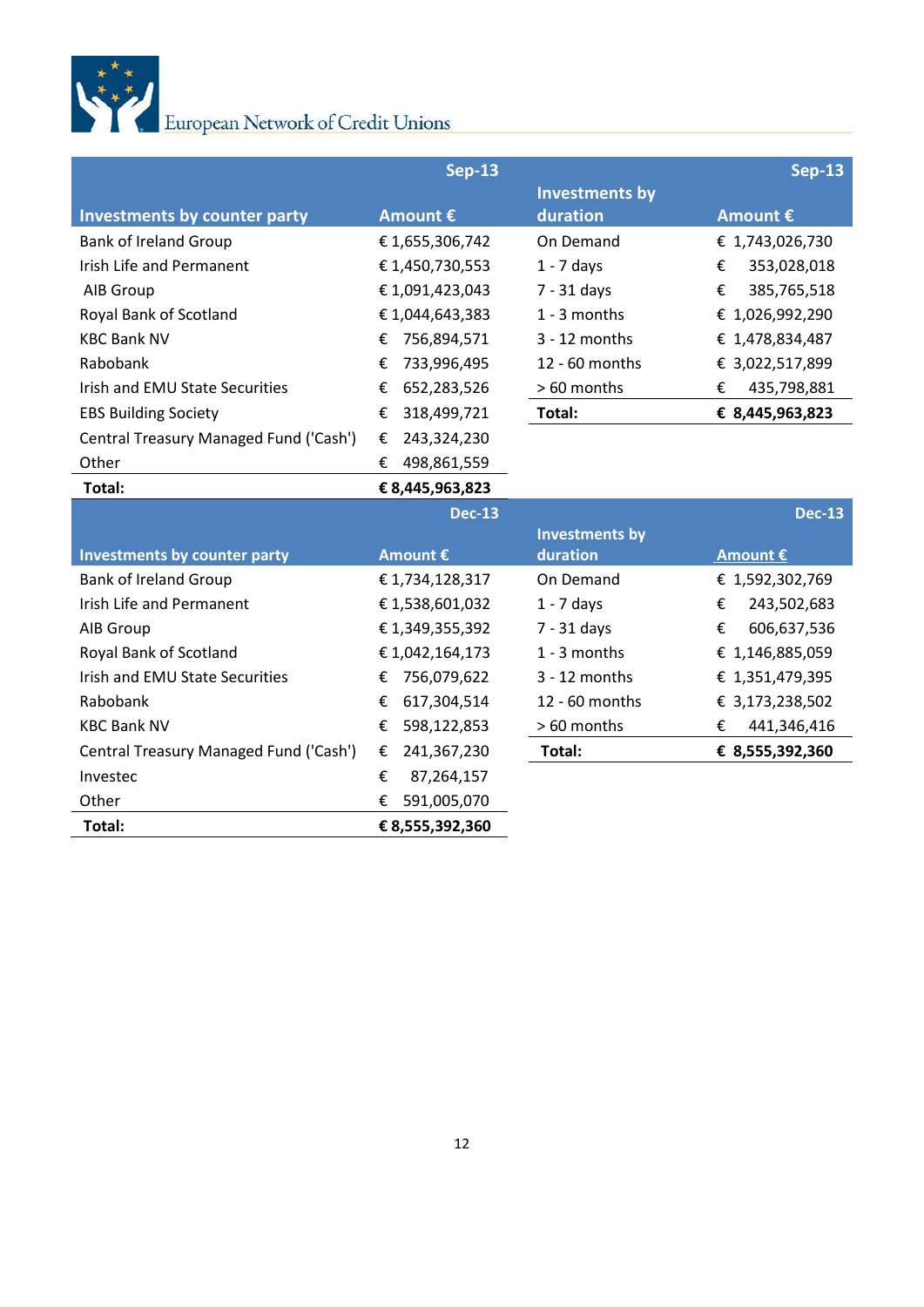

|                                        | <b>Sep-13</b>    |                       | <b>Sep-13</b>    |
|----------------------------------------|------------------|-----------------------|------------------|
|                                        |                  | <b>Investments by</b> |                  |
| <b>Investments by counter party</b>    | Amount €         | duration              | Amount €         |
| <b>Bank of Ireland Group</b>           | €1,655,306,742   | On Demand             | € 1,743,026,730  |
| Irish Life and Permanent               | €1,450,730,553   | $1 - 7$ days          | 353,028,018<br>€ |
| AIB Group                              | €1,091,423,043   | $7 - 31$ days         | €<br>385,765,518 |
| Royal Bank of Scotland                 | €1,044,643,383   | $1 - 3$ months        | € 1,026,992,290  |
| <b>KBC Bank NV</b>                     | 756,894,571<br>€ | $3 - 12$ months       | € 1,478,834,487  |
| Rabobank                               | 733,996,495<br>€ | 12 - 60 months        | € 3,022,517,899  |
| Irish and EMU State Securities         | 652,283,526<br>€ | > 60 months           | €<br>435,798,881 |
| <b>EBS Building Society</b>            | 318,499,721<br>€ | Total:                | € 8,445,963,823  |
| Central Treasury Managed Fund ('Cash') | 243,324,230<br>€ |                       |                  |
| Other                                  | €<br>498,861,559 |                       |                  |
| Total:                                 | € 8,445,963,823  |                       |                  |
|                                        |                  |                       |                  |
|                                        | <b>Dec-13</b>    |                       | <b>Dec-13</b>    |
|                                        |                  | <b>Investments by</b> |                  |
| <b>Investments by counter party</b>    | Amount €         | duration              | Amount €         |
| <b>Bank of Ireland Group</b>           | €1,734,128,317   | On Demand             | € 1,592,302,769  |
| Irish Life and Permanent               | €1,538,601,032   | $1 - 7$ days          | €<br>243,502,683 |
| AIB Group                              | € 1,349,355,392  | $7 - 31$ days         | €<br>606,637,536 |
| Royal Bank of Scotland                 | €1,042,164,173   | 1 - 3 months          | € 1,146,885,059  |
| Irish and EMU State Securities         | 756,079,622<br>€ | $3 - 12$ months       | € 1,351,479,395  |
| Rabobank                               | 617,304,514<br>€ | 12 - 60 months        | € 3,173,238,502  |
| <b>KBC Bank NV</b>                     | €<br>598,122,853 | > 60 months           | €<br>441,346,416 |
| Central Treasury Managed Fund ('Cash') | 241,367,230<br>€ | Total:                | € 8,555,392,360  |
| Investec                               | 87,264,157<br>€  |                       |                  |
| Other                                  | 591,005,070<br>€ |                       |                  |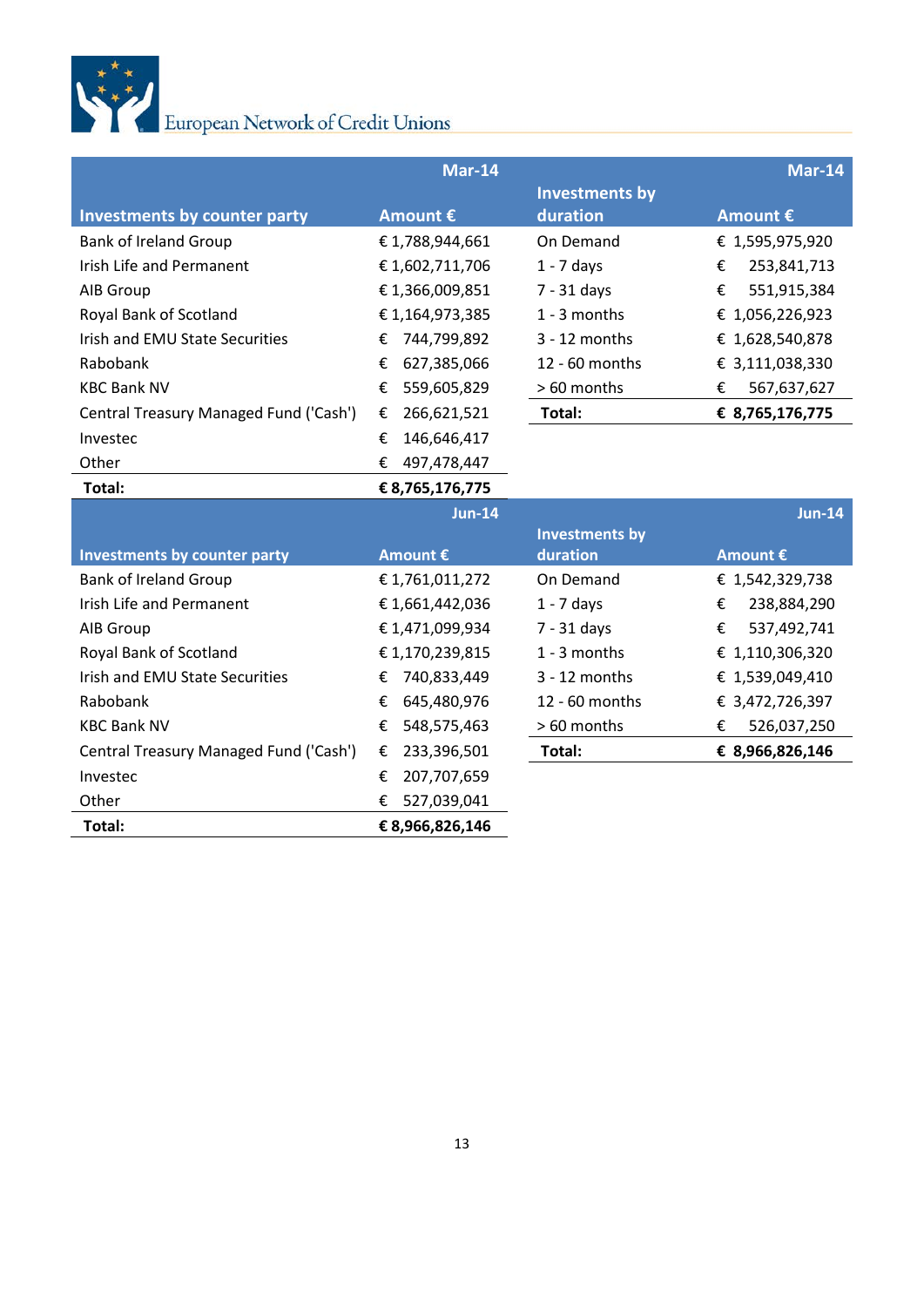

|                                        | <b>Mar-14</b>    |                       | <b>Mar-14</b>    |
|----------------------------------------|------------------|-----------------------|------------------|
|                                        |                  | <b>Investments by</b> |                  |
| <b>Investments by counter party</b>    | Amount €         | duration              | Amount €         |
| <b>Bank of Ireland Group</b>           | €1,788,944,661   | On Demand             | € 1,595,975,920  |
| <b>Irish Life and Permanent</b>        | €1,602,711,706   | $1 - 7$ days          | €<br>253,841,713 |
| AIB Group                              | €1,366,009,851   | $7 - 31$ days         | €<br>551,915,384 |
| Royal Bank of Scotland                 | €1,164,973,385   | 1 - 3 months          | € 1,056,226,923  |
| Irish and EMU State Securities         | 744,799,892<br>€ | $3 - 12$ months       | € 1,628,540,878  |
| Rabobank                               | €<br>627,385,066 | 12 - 60 months        | € 3,111,038,330  |
| <b>KBC Bank NV</b>                     | 559,605,829<br>€ | > 60 months           | 567,637,627<br>€ |
| Central Treasury Managed Fund ('Cash') | 266,621,521<br>€ | Total:                | € 8,765,176,775  |
| Investec                               | 146,646,417<br>€ |                       |                  |
| Other                                  | €<br>497,478,447 |                       |                  |
| Total:                                 | € 8,765,176,775  |                       |                  |
|                                        | <b>Jun-14</b>    |                       | <b>Jun-14</b>    |
|                                        |                  | <b>Investments by</b> |                  |
| <b>Investments by counter party</b>    | Amount €         | duration              | Amount €         |
| <b>Bank of Ireland Group</b>           | €1,761,011,272   | On Demand             | € 1,542,329,738  |
| Irish Life and Permanent               | €1,661,442,036   | $1 - 7$ days          | 238,884,290<br>€ |
| AIB Group                              | €1,471,099,934   | 7 - 31 days           | €<br>537,492,741 |
| Royal Bank of Scotland                 | €1,170,239,815   | 1 - 3 months          | € 1,110,306,320  |
| <b>Irish and EMU State Securities</b>  | 740,833,449<br>€ | $3 - 12$ months       | € 1,539,049,410  |
| Rabobank                               | 645,480,976<br>€ | 12 - 60 months        | € 3,472,726,397  |
| <b>KBC Bank NV</b>                     | 548,575,463<br>€ | > 60 months           | €<br>526,037,250 |
| Central Treasury Managed Fund ('Cash') | 233,396,501<br>€ | Total:                | € 8,966,826,146  |
| Investec                               | 207,707,659<br>€ |                       |                  |
| Other                                  | €<br>527,039,041 |                       |                  |
| Total:                                 | € 8,966,826,146  |                       |                  |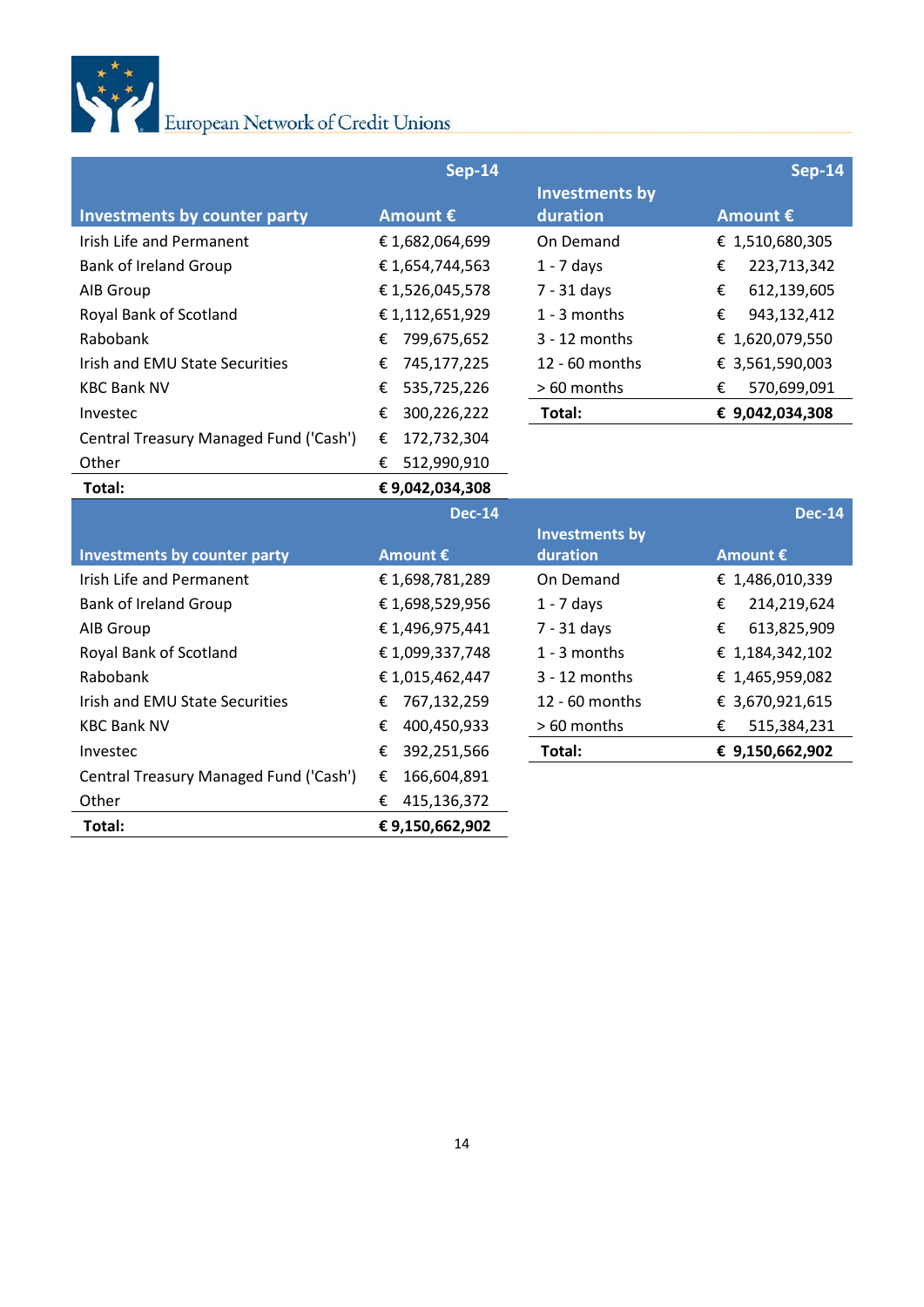

|                                        | <b>Sep-14</b>    |                       | <b>Sep-14</b>    |
|----------------------------------------|------------------|-----------------------|------------------|
|                                        |                  | <b>Investments by</b> |                  |
| <b>Investments by counter party</b>    | Amount €         | duration              | Amount €         |
| Irish Life and Permanent               | €1,682,064,699   | On Demand             | € 1,510,680,305  |
| <b>Bank of Ireland Group</b>           | €1,654,744,563   | $1 - 7$ days          | €<br>223,713,342 |
| AIB Group                              | €1,526,045,578   | 7 - 31 days           | €<br>612,139,605 |
| Royal Bank of Scotland                 | €1,112,651,929   | 1 - 3 months          | €<br>943,132,412 |
| Rabobank                               | 799,675,652<br>€ | $3 - 12$ months       | € 1,620,079,550  |
| Irish and EMU State Securities         | 745,177,225<br>€ | 12 - 60 months        | € 3,561,590,003  |
| <b>KBC Bank NV</b>                     | €<br>535,725,226 | > 60 months           | €<br>570,699,091 |
| Investec                               | 300,226,222<br>€ | Total:                | € 9,042,034,308  |
| Central Treasury Managed Fund ('Cash') | 172,732,304<br>€ |                       |                  |
| Other                                  | 512,990,910<br>€ |                       |                  |
| Total:                                 | €9,042,034,308   |                       |                  |
|                                        |                  |                       |                  |
|                                        | <b>Dec-14</b>    |                       | <b>Dec-14</b>    |
|                                        |                  | <b>Investments by</b> |                  |
| <b>Investments by counter party</b>    | Amount €         | duration              | Amount €         |
| Irish Life and Permanent               | €1,698,781,289   | On Demand             | € 1,486,010,339  |
| <b>Bank of Ireland Group</b>           | €1,698,529,956   | $1 - 7$ days          | 214,219,624<br>€ |
| AIB Group                              | €1,496,975,441   | $7 - 31$ days         | 613,825,909<br>€ |
| Royal Bank of Scotland                 | €1,099,337,748   | $1 - 3$ months        | € 1,184,342,102  |
| Rabobank                               | €1,015,462,447   | 3 - 12 months         | € 1,465,959,082  |
| Irish and EMU State Securities         | 767,132,259<br>€ | 12 - 60 months        | € 3,670,921,615  |
| <b>KBC Bank NV</b>                     | 400,450,933<br>€ | > 60 months           | 515,384,231<br>€ |
| Investec                               | 392,251,566<br>€ | Total:                | € 9,150,662,902  |
| Central Treasury Managed Fund ('Cash') | 166,604,891<br>€ |                       |                  |
| Other                                  | 415,136,372<br>€ |                       |                  |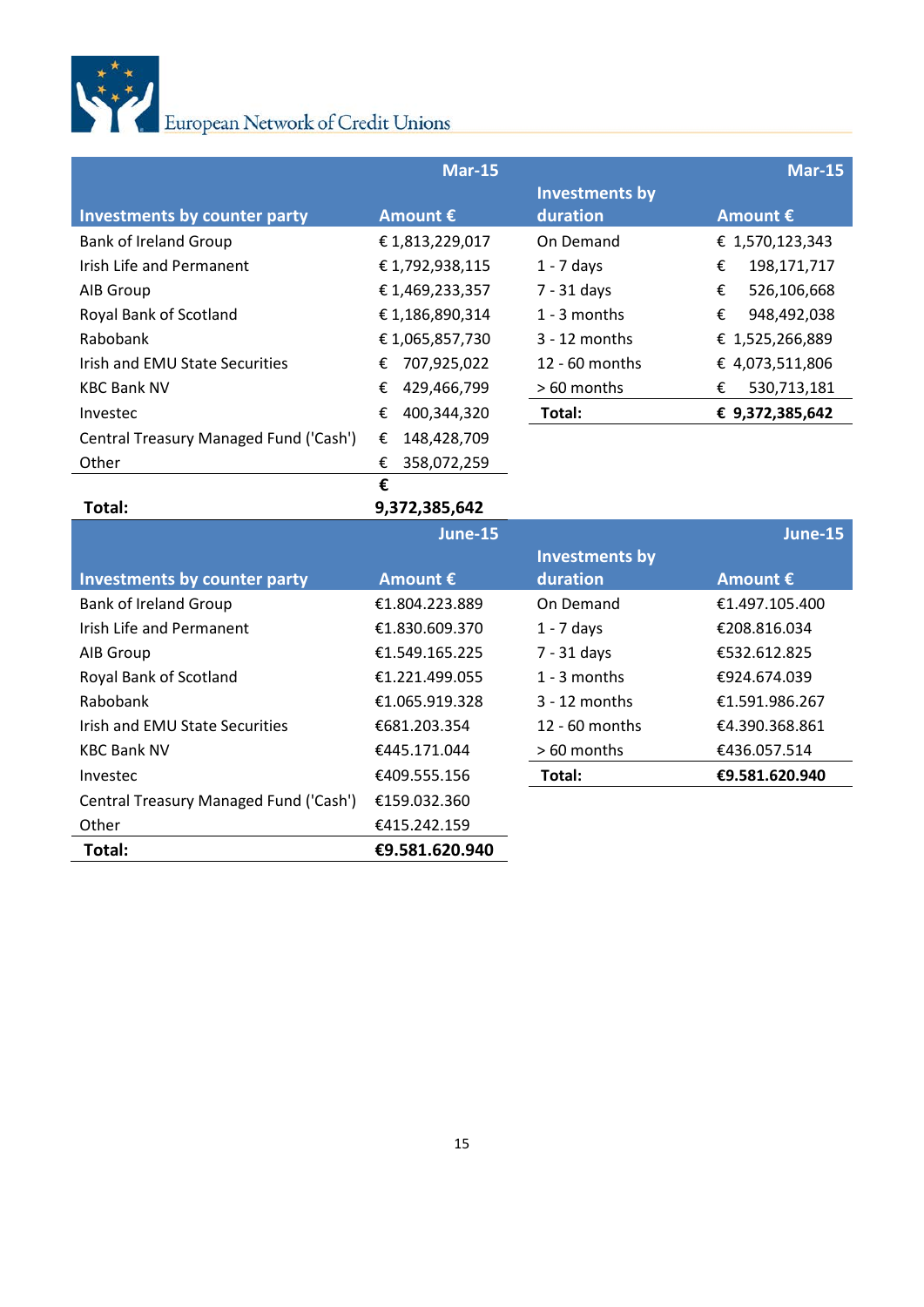

|                                        | Mar-15            |                  | Mar-15            |
|----------------------------------------|-------------------|------------------|-------------------|
|                                        |                   | Investments by   |                   |
| Investments by counter party           | Amount $\epsilon$ | duration         | Amount $\epsilon$ |
| <b>Bank of Ireland Group</b>           | €1,813,229,017    | On Demand        | € 1,570,123,343   |
| Irish Life and Permanent               | €1,792,938,115    | $1 - 7$ days     | €<br>198,171,717  |
| AIB Group                              | €1,469,233,357    | $7 - 31$ days    | €<br>526,106,668  |
| Royal Bank of Scotland                 | €1,186,890,314    | $1 - 3$ months   | €<br>948,492,038  |
| Rabobank                               | €1,065,857,730    | $3 - 12$ months  | € 1,525,266,889   |
| Irish and EMU State Securities         | 707,925,022<br>€  | $12 - 60$ months | € 4,073,511,806   |
| <b>KBC Bank NV</b>                     | €<br>429,466,799  | > 60 months      | 530,713,181<br>€  |
| Investec                               | 400,344,320<br>€  | Total:           | € 9,372,385,642   |
| Central Treasury Managed Fund ('Cash') | €<br>148,428,709  |                  |                   |
| Other                                  | 358,072,259<br>€  |                  |                   |

|                                        | €                 |                       |                |
|----------------------------------------|-------------------|-----------------------|----------------|
| Total:                                 | 9,372,385,642     |                       |                |
|                                        | June-15           |                       | June-15        |
|                                        |                   | <b>Investments by</b> |                |
| Investments by counter party           | Amount $\epsilon$ | duration              | Amount €       |
| <b>Bank of Ireland Group</b>           | €1.804.223.889    | On Demand             | €1.497.105.400 |
| Irish Life and Permanent               | €1.830.609.370    | $1 - 7$ days          | €208.816.034   |
| AIB Group                              | €1.549.165.225    | 7 - 31 days           | €532.612.825   |
| Royal Bank of Scotland                 | €1.221.499.055    | $1 - 3$ months        | €924.674.039   |
| Rabobank                               | €1.065.919.328    | $3 - 12$ months       | €1.591.986.267 |
| Irish and EMU State Securities         | €681.203.354      | $12 - 60$ months      | €4.390.368.861 |
| <b>KBC Bank NV</b>                     | €445.171.044      | $>60$ months          | €436.057.514   |
| Investec                               | €409.555.156      | Total:                | €9.581.620.940 |
| Central Treasury Managed Fund ('Cash') | €159.032.360      |                       |                |
| Other                                  | €415.242.159      |                       |                |
| Total:                                 | €9.581.620.940    |                       |                |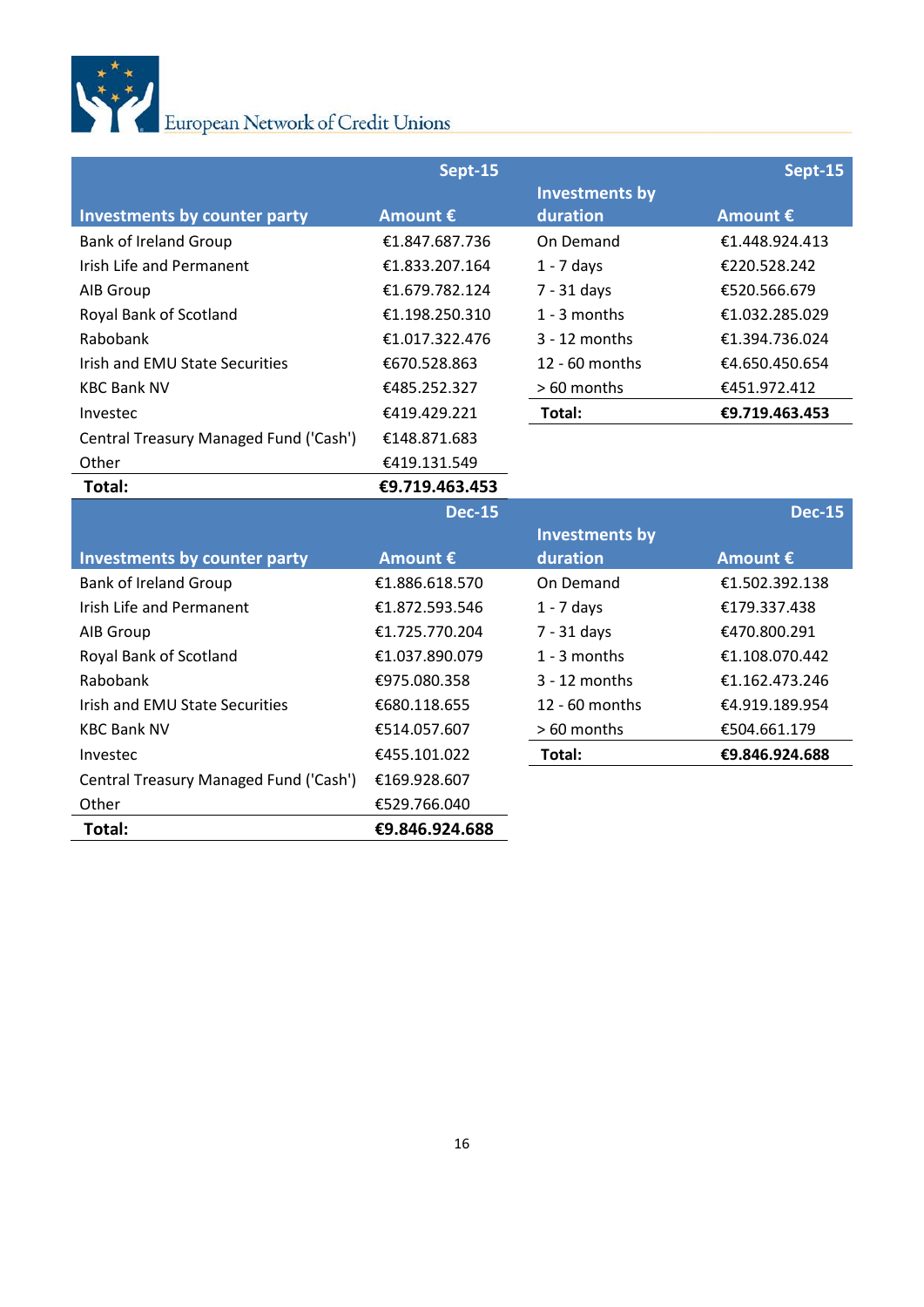

|                                        | Sept-15        |                       | Sept-15        |
|----------------------------------------|----------------|-----------------------|----------------|
|                                        |                | <b>Investments by</b> |                |
| <b>Investments by counter party</b>    | Amount €       | duration              | Amount €       |
| <b>Bank of Ireland Group</b>           | €1.847.687.736 | On Demand             | €1.448.924.413 |
| <b>Irish Life and Permanent</b>        | €1.833.207.164 | $1 - 7$ days          | €220.528.242   |
| AIB Group                              | €1.679.782.124 | $7 - 31$ days         | €520.566.679   |
| Royal Bank of Scotland                 | €1.198.250.310 | 1 - 3 months          | €1.032.285.029 |
| Rabobank                               | €1.017.322.476 | $3 - 12$ months       | €1.394.736.024 |
| Irish and EMU State Securities         | €670.528.863   | 12 - 60 months        | €4.650.450.654 |
| <b>KBC Bank NV</b>                     | €485.252.327   | > 60 months           | €451.972.412   |
| Investec                               | €419.429.221   | Total:                | €9.719.463.453 |
| Central Treasury Managed Fund ('Cash') | €148.871.683   |                       |                |
| Other                                  | €419.131.549   |                       |                |
| Total:                                 | €9.719.463.453 |                       |                |
|                                        | <b>Dec-15</b>  |                       | <b>Dec-15</b>  |
|                                        |                | <b>Investments by</b> |                |
| <b>Investments by counter party</b>    | Amount €       | duration              | Amount €       |
| <b>Bank of Ireland Group</b>           | €1.886.618.570 | On Demand             | €1.502.392.138 |
| <b>Irish Life and Permanent</b>        | €1.872.593.546 | $1 - 7$ days          | €179.337.438   |
| AIB Group                              | €1.725.770.204 | $7 - 31$ days         | €470.800.291   |
| Royal Bank of Scotland                 | €1.037.890.079 | 1 - 3 months          | €1.108.070.442 |
| Rabobank                               | €975.080.358   | 3 - 12 months         | €1.162.473.246 |
| Irish and EMU State Securities         | €680.118.655   | 12 - 60 months        | €4.919.189.954 |
| <b>KBC Bank NV</b>                     | €514.057.607   | > 60 months           | €504.661.179   |
| Investec                               |                |                       | €9.846.924.688 |
|                                        | €455.101.022   | Total:                |                |
| Central Treasury Managed Fund ('Cash') | €169.928.607   |                       |                |
| Other                                  | €529.766.040   |                       |                |